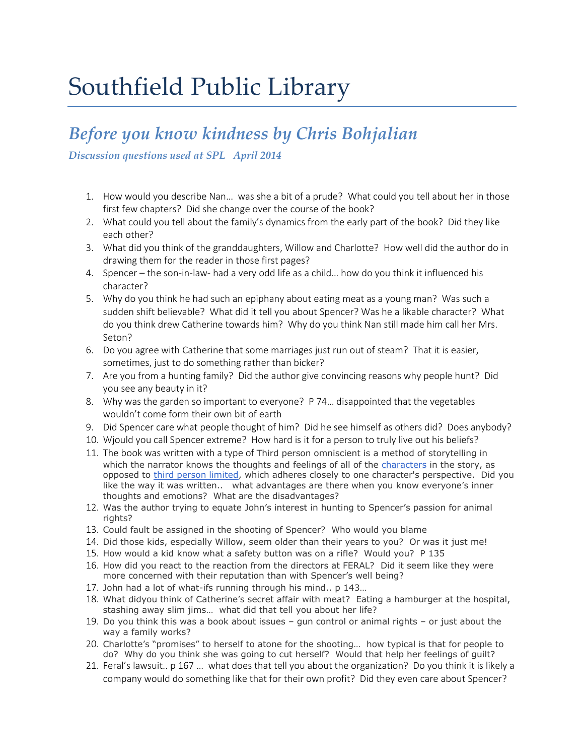# Southfield Public Library

#### *Before you know kindness by Chris Bohjalian*

*Discussion questions used at SPL April 2014*

- 1. How would you describe Nan… was she a bit of a prude? What could you tell about her in those first few chapters? Did she change over the course of the book?
- 2. What could you tell about the family's dynamics from the early part of the book? Did they like each other?
- 3. What did you think of the granddaughters, Willow and Charlotte? How well did the author do in drawing them for the reader in those first pages?
- 4. Spencer the son-in-law- had a very odd life as a child… how do you think it influenced his character?
- 5. Why do you think he had such an epiphany about eating meat as a young man? Was such a sudden shift believable? What did it tell you about Spencer? Was he a likable character? What do you think drew Catherine towards him? Why do you think Nan still made him call her Mrs. Seton?
- 6. Do you agree with Catherine that some marriages just run out of steam? That it is easier, sometimes, just to do something rather than bicker?
- 7. Are you from a hunting family? Did the author give convincing reasons why people hunt? Did you see any beauty in it?
- 8. Why was the garden so important to everyone? P 74… disappointed that the vegetables wouldn't come form their own bit of earth
- 9. Did Spencer care what people thought of him? Did he see himself as others did? Does anybody?
- 10. Wjould you call Spencer extreme? How hard is it for a person to truly live out his beliefs?
- 11. The book was written with a type of Third person omniscient is a method of storytelling in which the narrator knows the thoughts and feelings of all of the [characters](http://fictionwriting.about.com/od/glossary/g/Character.htm) in the story, as opposed to [third person limited,](http://fictionwriting.about.com/od/glossary/g/limited.htm) which adheres closely to one character's perspective. Did you like the way it was written.. what advantages are there when you know everyone's inner thoughts and emotions? What are the disadvantages?
- 12. Was the author trying to equate John's interest in hunting to Spencer's passion for animal rights?
- 13. Could fault be assigned in the shooting of Spencer? Who would you blame
- 14. Did those kids, especially Willow, seem older than their years to you? Or was it just me!
- 15. How would a kid know what a safety button was on a rifle? Would you? P 135
- 16. How did you react to the reaction from the directors at FERAL? Did it seem like they were more concerned with their reputation than with Spencer's well being?
- 17. John had a lot of what-ifs running through his mind.. p 143…
- 18. What didyou think of Catherine's secret affair with meat? Eating a hamburger at the hospital, stashing away slim jims… what did that tell you about her life?
- 19. Do you think this was a book about issues gun control or animal rights or just about the way a family works?
- 20. Charlotte's "promises" to herself to atone for the shooting… how typical is that for people to do? Why do you think she was going to cut herself? Would that help her feelings of guilt?
- 21. Feral's lawsuit.. p 167 … what does that tell you about the organization? Do you think it is likely a company would do something like that for their own profit? Did they even care about Spencer?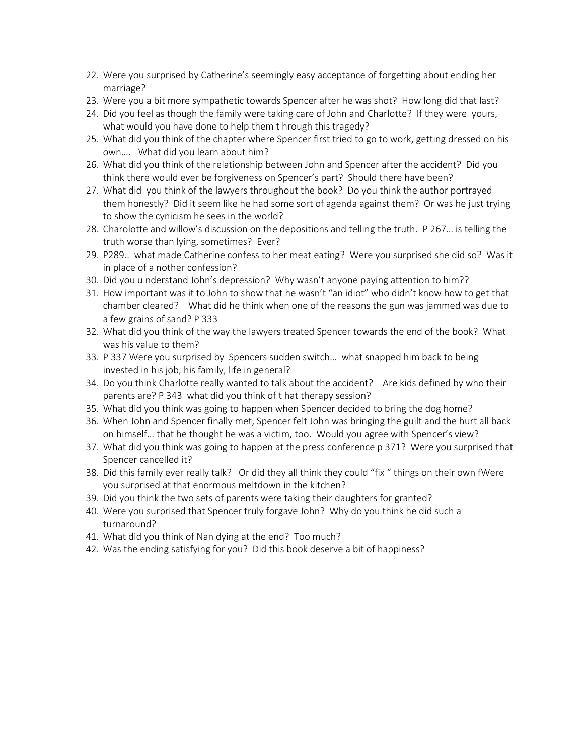- 22. Were you surprised by Catherine's seemingly easy acceptance of forgetting about ending her marriage?
- 23. Were you a bit more sympathetic towards Spencer after he was shot? How long did that last?
- 24. Did you feel as though the family were taking care of John and Charlotte? If they were yours, what would you have done to help them t hrough this tragedy?
- 25. What did you think of the chapter where Spencer first tried to go to work, getting dressed on his own…. What did you learn about him?
- 26. What did you think of the relationship between John and Spencer after the accident? Did you think there would ever be forgiveness on Spencer's part? Should there have been?
- 27. What did you think of the lawyers throughout the book? Do you think the author portrayed them honestly? Did it seem like he had some sort of agenda against them? Or was he just trying to show the cynicism he sees in the world?
- 28. Charolotte and willow's discussion on the depositions and telling the truth. P 267… is telling the truth worse than lying, sometimes? Ever?
- 29. P289.. what made Catherine confess to her meat eating? Were you surprised she did so? Was it in place of a nother confession?
- 30. Did you u nderstand John's depression? Why wasn't anyone paying attention to him??
- 31. How important was it to John to show that he wasn't "an idiot" who didn't know how to get that chamber cleared? What did he think when one of the reasons the gun was jammed was due to a few grains of sand? P 333
- 32. What did you think of the way the lawyers treated Spencer towards the end of the book? What was his value to them?
- 33. P 337 Were you surprised by Spencers sudden switch… what snapped him back to being invested in his job, his family, life in general?
- 34. Do you think Charlotte really wanted to talk about the accident? Are kids defined by who their parents are? P 343 what did you think of t hat therapy session?
- 35. What did you think was going to happen when Spencer decided to bring the dog home?
- 36. When John and Spencer finally met, Spencer felt John was bringing the guilt and the hurt all back on himself… that he thought he was a victim, too. Would you agree with Spencer's view?
- 37. What did you think was going to happen at the press conference p 371? Were you surprised that Spencer cancelled it?
- 38. Did this family ever really talk? Or did they all think they could "fix " things on their own fWere you surprised at that enormous meltdown in the kitchen?
- 39. Did you think the two sets of parents were taking their daughters for granted?
- 40. Were you surprised that Spencer truly forgave John? Why do you think he did such a turnaround?
- 41. What did you think of Nan dying at the end? Too much?
- 42. Was the ending satisfying for you? Did this book deserve a bit of happiness?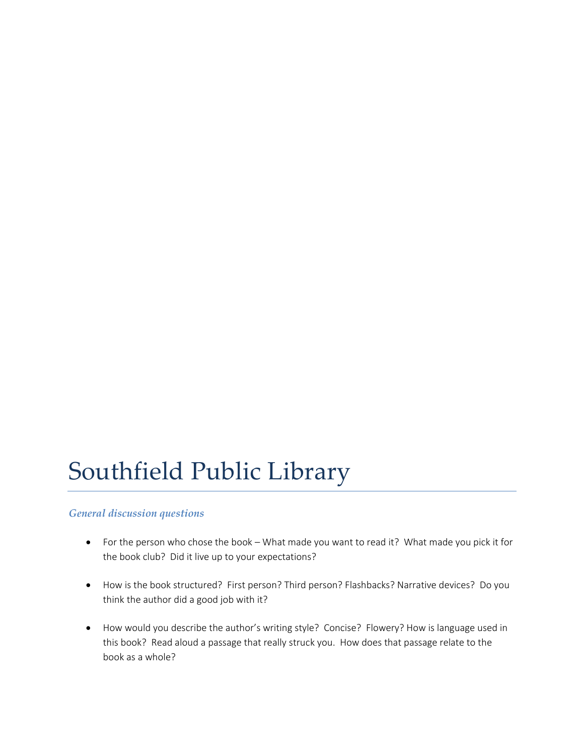## Southfield Public Library

#### *General discussion questions*

- For the person who chose the book What made you want to read it? What made you pick it for the book club? Did it live up to your expectations?
- How is the book structured? First person? Third person? Flashbacks? Narrative devices? Do you think the author did a good job with it?
- How would you describe the author's writing style? Concise? Flowery? How is language used in this book? Read aloud a passage that really struck you. How does that passage relate to the book as a whole?